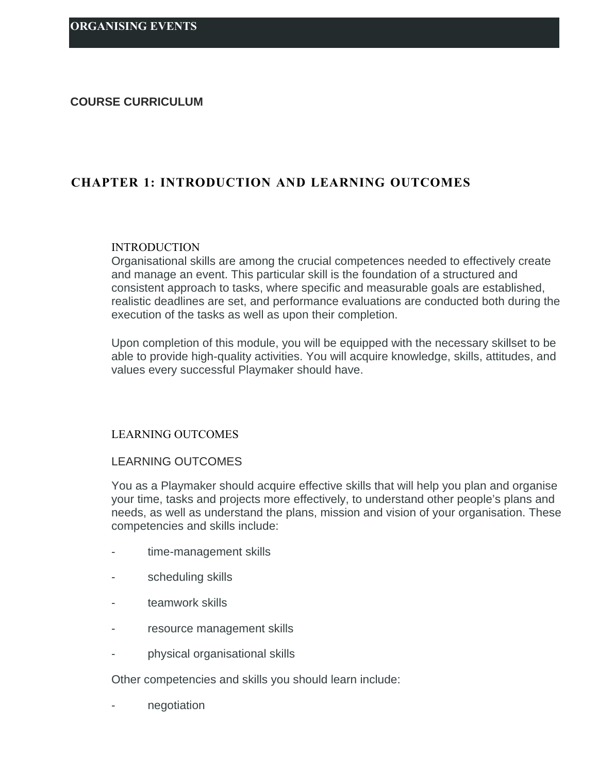#### **COURSE CURRICULUM**

# **CHAPTER 1: INTRODUCTION AND LEARNING OUTCOMES**

#### INTRODUCTION

Organisational skills are among the crucial competences needed to effectively create and manage an event. This particular skill is the foundation of a structured and consistent approach to tasks, where specific and measurable goals are established, realistic deadlines are set, and performance evaluations are conducted both during the execution of the tasks as well as upon their completion.

Upon completion of this module, you will be equipped with the necessary skillset to be able to provide high-quality activities. You will acquire knowledge, skills, attitudes, and values every successful Playmaker should have.

# LEARNING OUTCOMES

#### LEARNING OUTCOMES

You as a Playmaker should acquire effective skills that will help you plan and organise your time, tasks and projects more effectively, to understand other people's plans and needs, as well as understand the plans, mission and vision of your organisation. These competencies and skills include:

- time-management skills
- scheduling skills
- teamwork skills
- resource management skills
- physical organisational skills

Other competencies and skills you should learn include:

negotiation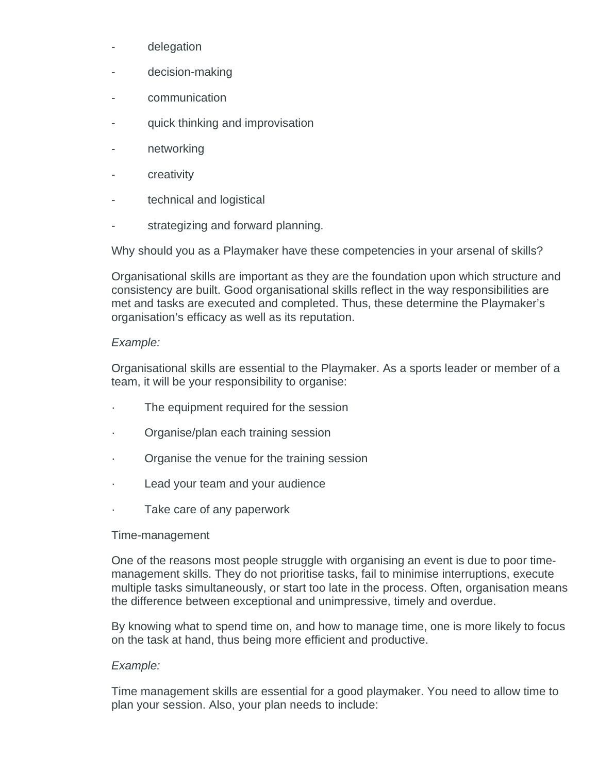- delegation
- decision-making
- communication
- quick thinking and improvisation
- networking
- **creativity**
- technical and logistical
- strategizing and forward planning.

Why should you as a Playmaker have these competencies in your arsenal of skills?

Organisational skills are important as they are the foundation upon which structure and consistency are built. Good organisational skills reflect in the way responsibilities are met and tasks are executed and completed. Thus, these determine the Playmaker's organisation's efficacy as well as its reputation.

# *Example:*

Organisational skills are essential to the Playmaker. As a sports leader or member of a team, it will be your responsibility to organise:

- The equipment required for the session
- · Organise/plan each training session
- · Organise the venue for the training session
- Lead your team and your audience
- · Take care of any paperwork

## Time-management

One of the reasons most people struggle with organising an event is due to poor timemanagement skills. They do not prioritise tasks, fail to minimise interruptions, execute multiple tasks simultaneously, or start too late in the process. Often, organisation means the difference between exceptional and unimpressive, timely and overdue.

By knowing what to spend time on, and how to manage time, one is more likely to focus on the task at hand, thus being more efficient and productive.

# *Example:*

Time management skills are essential for a good playmaker. You need to allow time to plan your session. Also, your plan needs to include: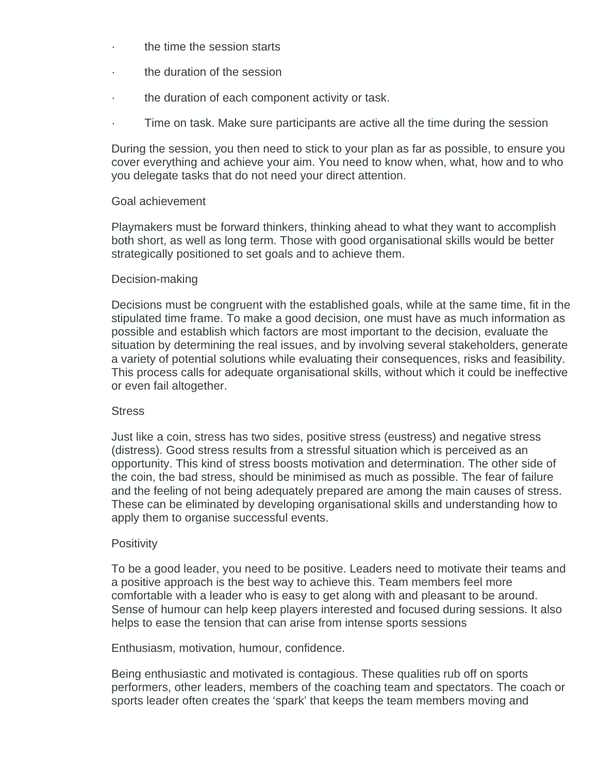- · the time the session starts
- the duration of the session
- the duration of each component activity or task.
- Time on task. Make sure participants are active all the time during the session

During the session, you then need to stick to your plan as far as possible, to ensure you cover everything and achieve your aim. You need to know when, what, how and to who you delegate tasks that do not need your direct attention.

## Goal achievement

Playmakers must be forward thinkers, thinking ahead to what they want to accomplish both short, as well as long term. Those with good organisational skills would be better strategically positioned to set goals and to achieve them.

## Decision-making

Decisions must be congruent with the established goals, while at the same time, fit in the stipulated time frame. To make a good decision, one must have as much information as possible and establish which factors are most important to the decision, evaluate the situation by determining the real issues, and by involving several stakeholders, generate a variety of potential solutions while evaluating their consequences, risks and feasibility. This process calls for adequate organisational skills, without which it could be ineffective or even fail altogether.

## **Stress**

Just like a coin, stress has two sides, positive stress (eustress) and negative stress (distress). Good stress results from a stressful situation which is perceived as an opportunity. This kind of stress boosts motivation and determination. The other side of the coin, the bad stress, should be minimised as much as possible. The fear of failure and the feeling of not being adequately prepared are among the main causes of stress. These can be eliminated by developing organisational skills and understanding how to apply them to organise successful events.

## **Positivity**

To be a good leader, you need to be positive. Leaders need to motivate their teams and a positive approach is the best way to achieve this. Team members feel more comfortable with a leader who is easy to get along with and pleasant to be around. Sense of humour can help keep players interested and focused during sessions. It also helps to ease the tension that can arise from intense sports sessions

Enthusiasm, motivation, humour, confidence.

Being enthusiastic and motivated is contagious. These qualities rub off on sports performers, other leaders, members of the coaching team and spectators. The coach or sports leader often creates the 'spark' that keeps the team members moving and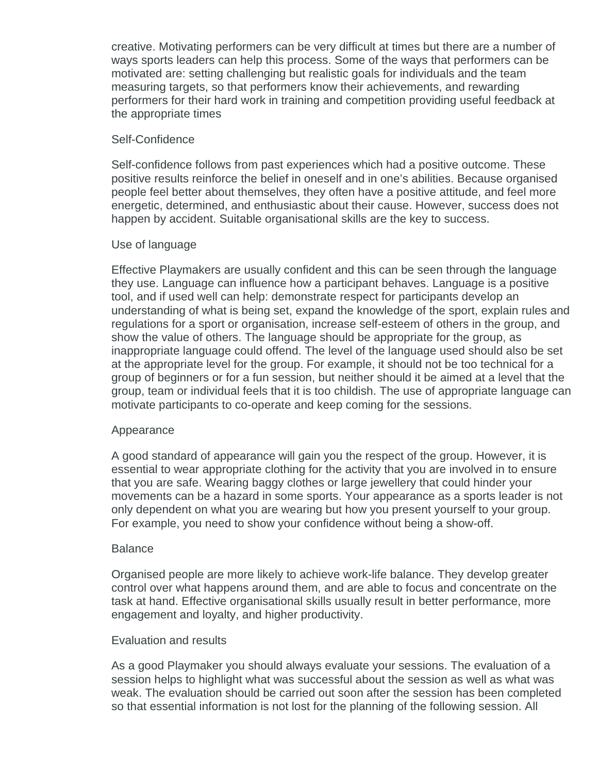creative. Motivating performers can be very difficult at times but there are a number of ways sports leaders can help this process. Some of the ways that performers can be motivated are: setting challenging but realistic goals for individuals and the team measuring targets, so that performers know their achievements, and rewarding performers for their hard work in training and competition providing useful feedback at the appropriate times

# Self-Confidence

Self-confidence follows from past experiences which had a positive outcome. These positive results reinforce the belief in oneself and in one's abilities. Because organised people feel better about themselves, they often have a positive attitude, and feel more energetic, determined, and enthusiastic about their cause. However, success does not happen by accident. Suitable organisational skills are the key to success.

# Use of language

Effective Playmakers are usually confident and this can be seen through the language they use. Language can influence how a participant behaves. Language is a positive tool, and if used well can help: demonstrate respect for participants develop an understanding of what is being set, expand the knowledge of the sport, explain rules and regulations for a sport or organisation, increase self-esteem of others in the group, and show the value of others. The language should be appropriate for the group, as inappropriate language could offend. The level of the language used should also be set at the appropriate level for the group. For example, it should not be too technical for a group of beginners or for a fun session, but neither should it be aimed at a level that the group, team or individual feels that it is too childish. The use of appropriate language can motivate participants to co-operate and keep coming for the sessions.

# Appearance

A good standard of appearance will gain you the respect of the group. However, it is essential to wear appropriate clothing for the activity that you are involved in to ensure that you are safe. Wearing baggy clothes or large jewellery that could hinder your movements can be a hazard in some sports. Your appearance as a sports leader is not only dependent on what you are wearing but how you present yourself to your group. For example, you need to show your confidence without being a show-off.

## Balance

Organised people are more likely to achieve work-life balance. They develop greater control over what happens around them, and are able to focus and concentrate on the task at hand. Effective organisational skills usually result in better performance, more engagement and loyalty, and higher productivity.

## Evaluation and results

As a good Playmaker you should always evaluate your sessions. The evaluation of a session helps to highlight what was successful about the session as well as what was weak. The evaluation should be carried out soon after the session has been completed so that essential information is not lost for the planning of the following session. All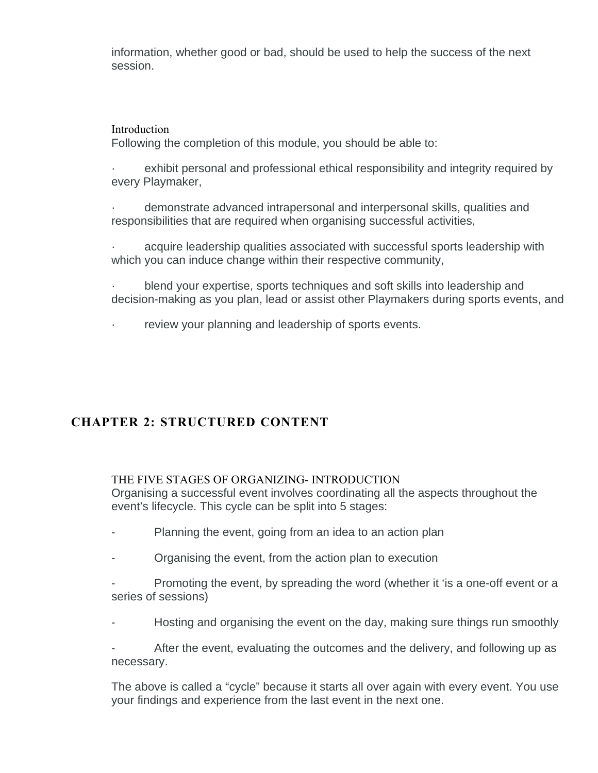information, whether good or bad, should be used to help the success of the next session.

# **Introduction**

Following the completion of this module, you should be able to:

exhibit personal and professional ethical responsibility and integrity required by every Playmaker,

· demonstrate advanced intrapersonal and interpersonal skills, qualities and responsibilities that are required when organising successful activities,

acquire leadership qualities associated with successful sports leadership with which you can induce change within their respective community,

· blend your expertise, sports techniques and soft skills into leadership and decision-making as you plan, lead or assist other Playmakers during sports events, and

review your planning and leadership of sports events.

# **CHAPTER 2: STRUCTURED CONTENT**

# THE FIVE STAGES OF ORGANIZING- INTRODUCTION

Organising a successful event involves coordinating all the aspects throughout the event's lifecycle. This cycle can be split into 5 stages:

- Planning the event, going from an idea to an action plan
- Organising the event, from the action plan to execution
- Promoting the event, by spreading the word (whether it 'is a one-off event or a series of sessions)
- Hosting and organising the event on the day, making sure things run smoothly

After the event, evaluating the outcomes and the delivery, and following up as necessary.

The above is called a "cycle" because it starts all over again with every event. You use your findings and experience from the last event in the next one.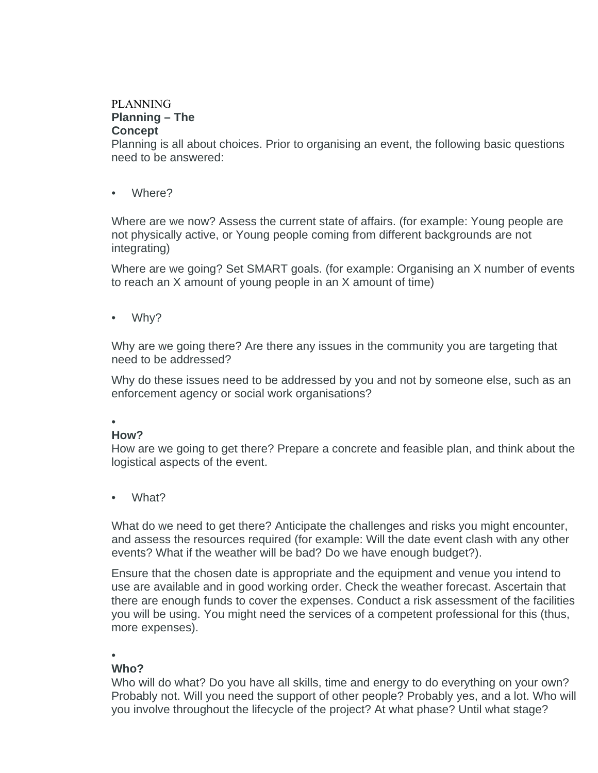# PLANNING **Planning – The Concept**

Planning is all about choices. Prior to organising an event, the following basic questions need to be answered:

• Where?

Where are we now? Assess the current state of affairs. (for example: Young people are not physically active, or Young people coming from different backgrounds are not integrating)

Where are we going? Set SMART goals. (for example: Organising an X number of events to reach an X amount of young people in an X amount of time)

• Why?

Why are we going there? Are there any issues in the community you are targeting that need to be addressed?

Why do these issues need to be addressed by you and not by someone else, such as an enforcement agency or social work organisations?

#### • **How?**

How are we going to get there? Prepare a concrete and feasible plan, and think about the logistical aspects of the event.

What?

What do we need to get there? Anticipate the challenges and risks you might encounter, and assess the resources required (for example: Will the date event clash with any other events? What if the weather will be bad? Do we have enough budget?).

Ensure that the chosen date is appropriate and the equipment and venue you intend to use are available and in good working order. Check the weather forecast. Ascertain that there are enough funds to cover the expenses. Conduct a risk assessment of the facilities you will be using. You might need the services of a competent professional for this (thus, more expenses).

# •

# **Who?**

Who will do what? Do you have all skills, time and energy to do everything on your own? Probably not. Will you need the support of other people? Probably yes, and a lot. Who will you involve throughout the lifecycle of the project? At what phase? Until what stage?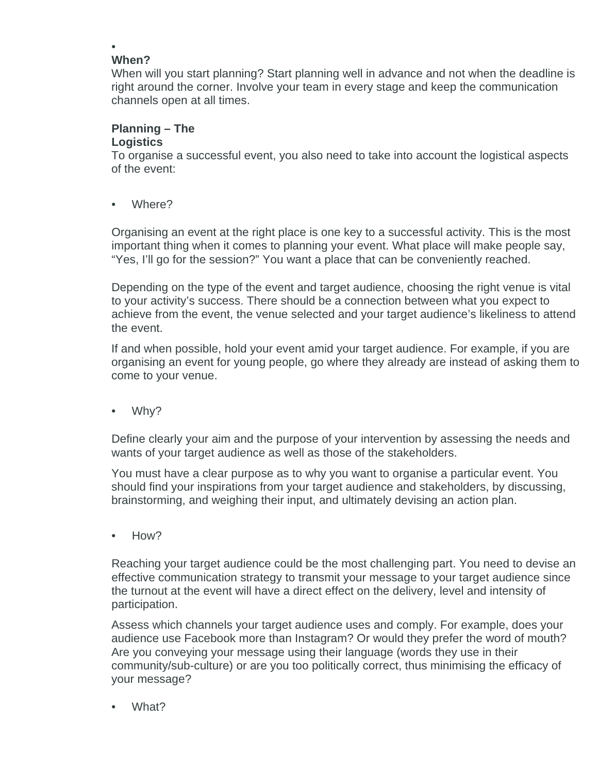#### • **When?**

When will you start planning? Start planning well in advance and not when the deadline is right around the corner. Involve your team in every stage and keep the communication channels open at all times.

# **Planning – The**

# **Logistics**

To organise a successful event, you also need to take into account the logistical aspects of the event:

• Where?

Organising an event at the right place is one key to a successful activity. This is the most important thing when it comes to planning your event. What place will make people say, "Yes, I'll go for the session?" You want a place that can be conveniently reached.

Depending on the type of the event and target audience, choosing the right venue is vital to your activity's success. There should be a connection between what you expect to achieve from the event, the venue selected and your target audience's likeliness to attend the event.

If and when possible, hold your event amid your target audience. For example, if you are organising an event for young people, go where they already are instead of asking them to come to your venue.

• Why?

Define clearly your aim and the purpose of your intervention by assessing the needs and wants of your target audience as well as those of the stakeholders.

You must have a clear purpose as to why you want to organise a particular event. You should find your inspirations from your target audience and stakeholders, by discussing, brainstorming, and weighing their input, and ultimately devising an action plan.

• How?

Reaching your target audience could be the most challenging part. You need to devise an effective communication strategy to transmit your message to your target audience since the turnout at the event will have a direct effect on the delivery, level and intensity of participation.

Assess which channels your target audience uses and comply. For example, does your audience use Facebook more than Instagram? Or would they prefer the word of mouth? Are you conveying your message using their language (words they use in their community/sub-culture) or are you too politically correct, thus minimising the efficacy of your message?

What?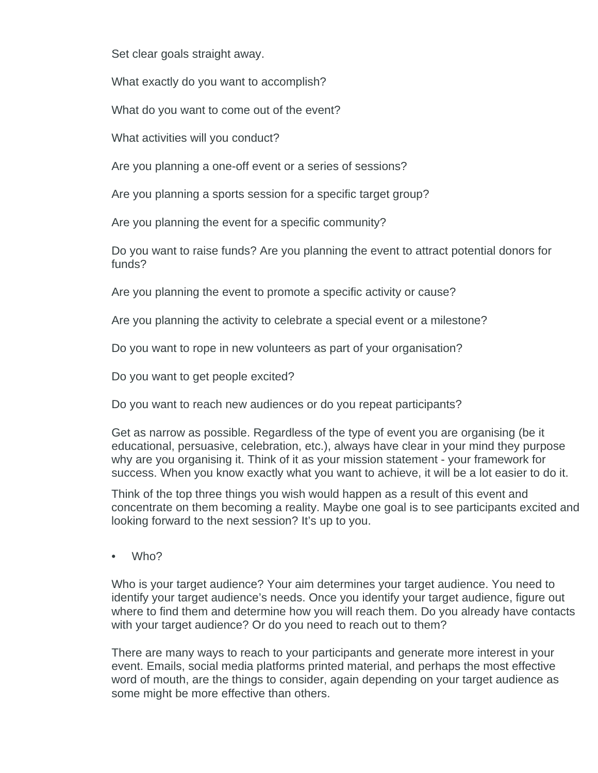Set clear goals straight away.

What exactly do you want to accomplish?

What do you want to come out of the event?

What activities will you conduct?

Are you planning a one-off event or a series of sessions?

Are you planning a sports session for a specific target group?

Are you planning the event for a specific community?

Do you want to raise funds? Are you planning the event to attract potential donors for funds?

Are you planning the event to promote a specific activity or cause?

Are you planning the activity to celebrate a special event or a milestone?

Do you want to rope in new volunteers as part of your organisation?

Do you want to get people excited?

Do you want to reach new audiences or do you repeat participants?

Get as narrow as possible. Regardless of the type of event you are organising (be it educational, persuasive, celebration, etc.), always have clear in your mind they purpose why are you organising it. Think of it as your mission statement - your framework for success. When you know exactly what you want to achieve, it will be a lot easier to do it.

Think of the top three things you wish would happen as a result of this event and concentrate on them becoming a reality. Maybe one goal is to see participants excited and looking forward to the next session? It's up to you.

• Who?

Who is your target audience? Your aim determines your target audience. You need to identify your target audience's needs. Once you identify your target audience, figure out where to find them and determine how you will reach them. Do you already have contacts with your target audience? Or do you need to reach out to them?

There are many ways to reach to your participants and generate more interest in your event. Emails, social media platforms printed material, and perhaps the most effective word of mouth, are the things to consider, again depending on your target audience as some might be more effective than others.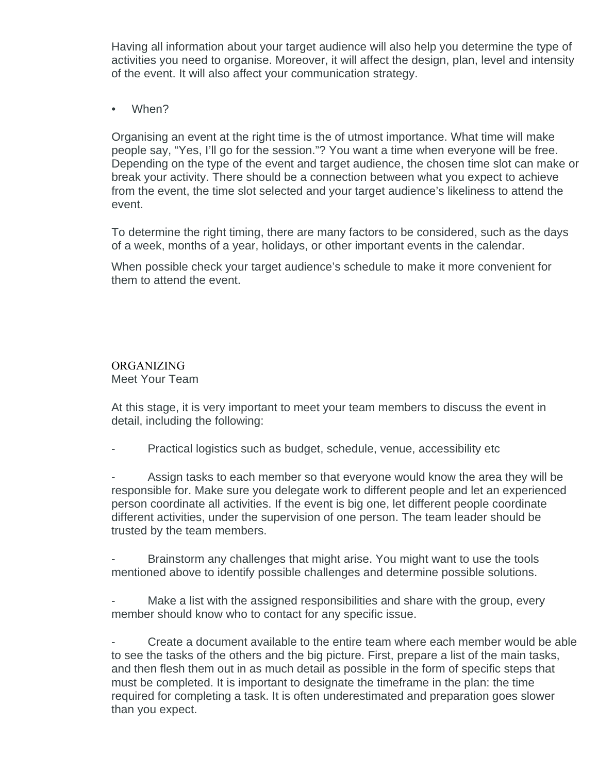Having all information about your target audience will also help you determine the type of activities you need to organise. Moreover, it will affect the design, plan, level and intensity of the event. It will also affect your communication strategy.

• When?

Organising an event at the right time is the of utmost importance. What time will make people say, "Yes, I'll go for the session."? You want a time when everyone will be free. Depending on the type of the event and target audience, the chosen time slot can make or break your activity. There should be a connection between what you expect to achieve from the event, the time slot selected and your target audience's likeliness to attend the event.

To determine the right timing, there are many factors to be considered, such as the days of a week, months of a year, holidays, or other important events in the calendar.

When possible check your target audience's schedule to make it more convenient for them to attend the event.

## ORGANIZING Meet Your Team

At this stage, it is very important to meet your team members to discuss the event in detail, including the following:

Practical logistics such as budget, schedule, venue, accessibility etc

Assign tasks to each member so that everyone would know the area they will be responsible for. Make sure you delegate work to different people and let an experienced person coordinate all activities. If the event is big one, let different people coordinate different activities, under the supervision of one person. The team leader should be trusted by the team members.

Brainstorm any challenges that might arise. You might want to use the tools mentioned above to identify possible challenges and determine possible solutions.

Make a list with the assigned responsibilities and share with the group, every member should know who to contact for any specific issue.

Create a document available to the entire team where each member would be able to see the tasks of the others and the big picture. First, prepare a list of the main tasks, and then flesh them out in as much detail as possible in the form of specific steps that must be completed. It is important to designate the timeframe in the plan: the time required for completing a task. It is often underestimated and preparation goes slower than you expect.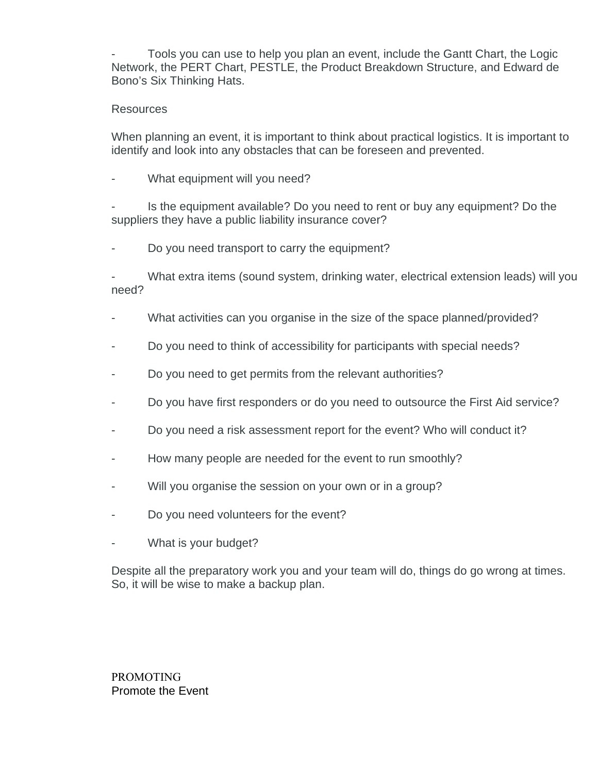- Tools you can use to help you plan an event, include the Gantt Chart, the Logic Network, the PERT Chart, PESTLE, the Product Breakdown Structure, and Edward de Bono's Six Thinking Hats.

# **Resources**

When planning an event, it is important to think about practical logistics. It is important to identify and look into any obstacles that can be foreseen and prevented.

What equipment will you need?

Is the equipment available? Do you need to rent or buy any equipment? Do the suppliers they have a public liability insurance cover?

Do you need transport to carry the equipment?

What extra items (sound system, drinking water, electrical extension leads) will you need?

- What activities can you organise in the size of the space planned/provided?
- Do you need to think of accessibility for participants with special needs?
- Do you need to get permits from the relevant authorities?
- Do you have first responders or do you need to outsource the First Aid service?
- Do you need a risk assessment report for the event? Who will conduct it?
- How many people are needed for the event to run smoothly?
- Will you organise the session on your own or in a group?
- Do you need volunteers for the event?
- What is your budget?

Despite all the preparatory work you and your team will do, things do go wrong at times. So, it will be wise to make a backup plan.

PROMOTING Promote the Event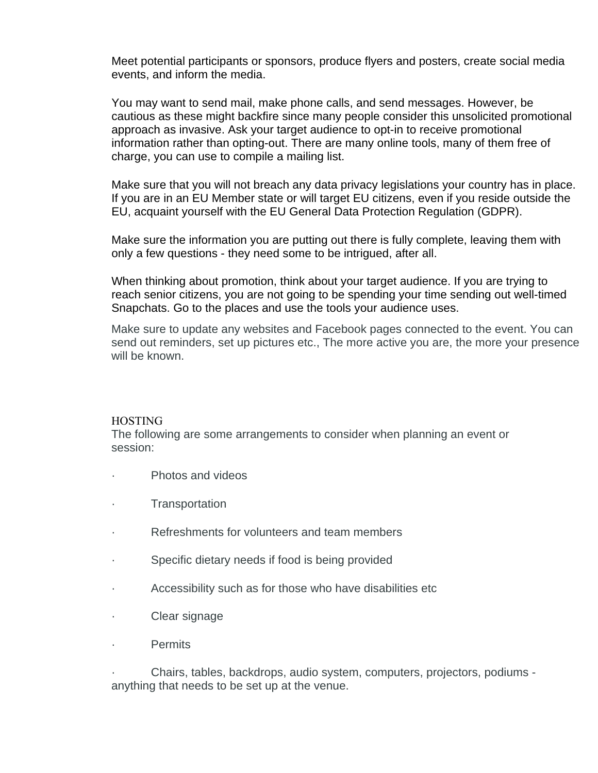Meet potential participants or sponsors, produce flyers and posters, create social media events, and inform the media.

You may want to send mail, make phone calls, and send messages. However, be cautious as these might backfire since many people consider this unsolicited promotional approach as invasive. Ask your target audience to opt-in to receive promotional information rather than opting-out. There are many online tools, many of them free of charge, you can use to compile a mailing list.

Make sure that you will not breach any data privacy legislations your country has in place. If you are in an EU Member state or will target EU citizens, even if you reside outside the EU, acquaint yourself with the EU General Data Protection Regulation (GDPR).

Make sure the information you are putting out there is fully complete, leaving them with only a few questions - they need some to be intrigued, after all.

When thinking about promotion, think about your target audience. If you are trying to reach senior citizens, you are not going to be spending your time sending out well-timed Snapchats. Go to the places and use the tools your audience uses.

Make sure to update any websites and Facebook pages connected to the event. You can send out reminders, set up pictures etc., The more active you are, the more your presence will be known.

## HOSTING

The following are some arrangements to consider when planning an event or session:

- · Photos and videos
- **Transportation**
- · Refreshments for volunteers and team members
- Specific dietary needs if food is being provided
- Accessibility such as for those who have disabilities etc.
- · Clear signage
- · Permits

· Chairs, tables, backdrops, audio system, computers, projectors, podiums anything that needs to be set up at the venue.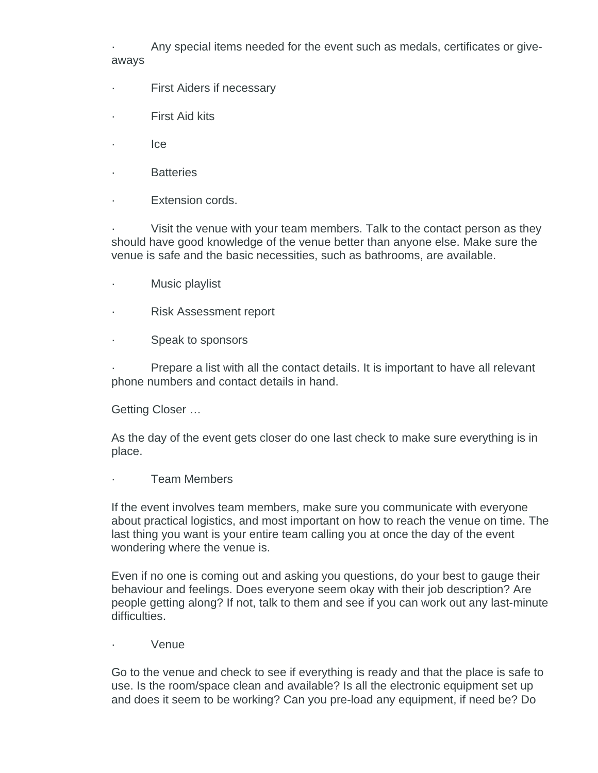· Any special items needed for the event such as medals, certificates or giveaways

- · First Aiders if necessary
- First Aid kits
- · Ice
- **Batteries**
- · Extension cords.

Visit the venue with your team members. Talk to the contact person as they should have good knowledge of the venue better than anyone else. Make sure the venue is safe and the basic necessities, such as bathrooms, are available.

- · Music playlist
- · Risk Assessment report
- Speak to sponsors

Prepare a list with all the contact details. It is important to have all relevant phone numbers and contact details in hand.

Getting Closer …

As the day of the event gets closer do one last check to make sure everything is in place.

Team Members

If the event involves team members, make sure you communicate with everyone about practical logistics, and most important on how to reach the venue on time. The last thing you want is your entire team calling you at once the day of the event wondering where the venue is.

Even if no one is coming out and asking you questions, do your best to gauge their behaviour and feelings. Does everyone seem okay with their job description? Are people getting along? If not, talk to them and see if you can work out any last-minute difficulties.

· Venue

Go to the venue and check to see if everything is ready and that the place is safe to use. Is the room/space clean and available? Is all the electronic equipment set up and does it seem to be working? Can you pre-load any equipment, if need be? Do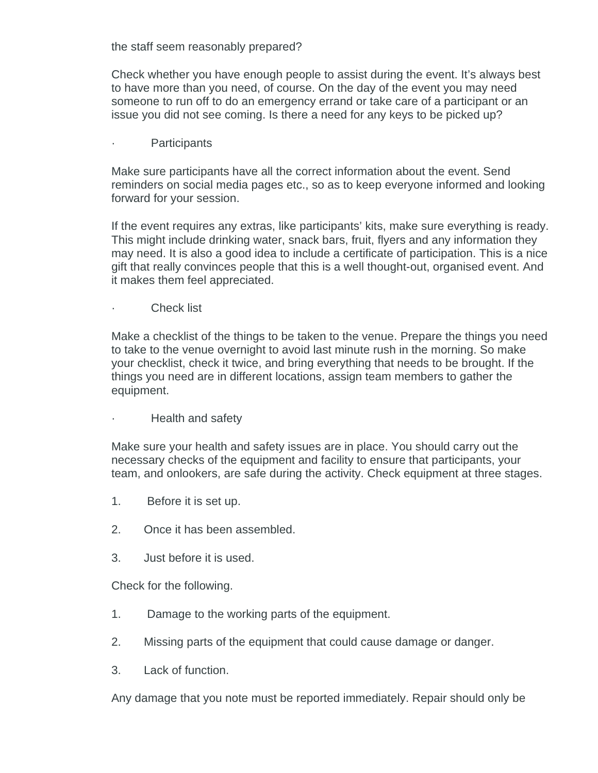the staff seem reasonably prepared?

Check whether you have enough people to assist during the event. It's always best to have more than you need, of course. On the day of the event you may need someone to run off to do an emergency errand or take care of a participant or an issue you did not see coming. Is there a need for any keys to be picked up?

**Participants** 

Make sure participants have all the correct information about the event. Send reminders on social media pages etc., so as to keep everyone informed and looking forward for your session.

If the event requires any extras, like participants' kits, make sure everything is ready. This might include drinking water, snack bars, fruit, flyers and any information they may need. It is also a good idea to include a certificate of participation. This is a nice gift that really convinces people that this is a well thought-out, organised event. And it makes them feel appreciated.

Check list

Make a checklist of the things to be taken to the venue. Prepare the things you need to take to the venue overnight to avoid last minute rush in the morning. So make your checklist, check it twice, and bring everything that needs to be brought. If the things you need are in different locations, assign team members to gather the equipment.

· Health and safety

Make sure your health and safety issues are in place. You should carry out the necessary checks of the equipment and facility to ensure that participants, your team, and onlookers, are safe during the activity. Check equipment at three stages.

- 1. Before it is set up.
- 2. Once it has been assembled.
- 3. Just before it is used.

Check for the following.

- 1. Damage to the working parts of the equipment.
- 2. Missing parts of the equipment that could cause damage or danger.
- 3. Lack of function.

Any damage that you note must be reported immediately. Repair should only be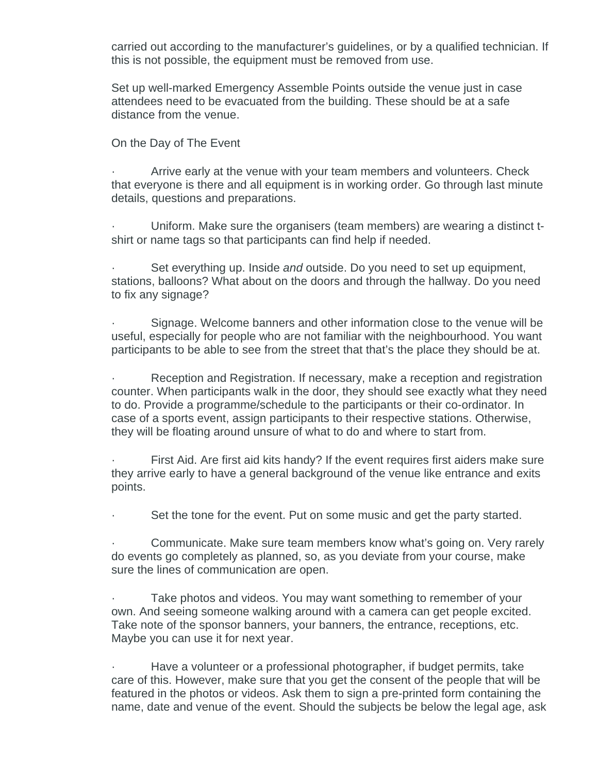carried out according to the manufacturer's guidelines, or by a qualified technician. If this is not possible, the equipment must be removed from use.

Set up well-marked Emergency Assemble Points outside the venue just in case attendees need to be evacuated from the building. These should be at a safe distance from the venue.

#### On the Day of The Event

Arrive early at the venue with your team members and volunteers. Check that everyone is there and all equipment is in working order. Go through last minute details, questions and preparations.

· Uniform. Make sure the organisers (team members) are wearing a distinct tshirt or name tags so that participants can find help if needed.

Set everything up. Inside *and* outside. Do you need to set up equipment, stations, balloons? What about on the doors and through the hallway. Do you need to fix any signage?

Signage. Welcome banners and other information close to the venue will be useful, especially for people who are not familiar with the neighbourhood. You want participants to be able to see from the street that that's the place they should be at.

Reception and Registration. If necessary, make a reception and registration counter. When participants walk in the door, they should see exactly what they need to do. Provide a programme/schedule to the participants or their co-ordinator. In case of a sports event, assign participants to their respective stations. Otherwise, they will be floating around unsure of what to do and where to start from.

First Aid. Are first aid kits handy? If the event requires first aiders make sure they arrive early to have a general background of the venue like entrance and exits points.

Set the tone for the event. Put on some music and get the party started.

· Communicate. Make sure team members know what's going on. Very rarely do events go completely as planned, so, as you deviate from your course, make sure the lines of communication are open.

Take photos and videos. You may want something to remember of your own. And seeing someone walking around with a camera can get people excited. Take note of the sponsor banners, your banners, the entrance, receptions, etc. Maybe you can use it for next year.

Have a volunteer or a professional photographer, if budget permits, take care of this. However, make sure that you get the consent of the people that will be featured in the photos or videos. Ask them to sign a pre-printed form containing the name, date and venue of the event. Should the subjects be below the legal age, ask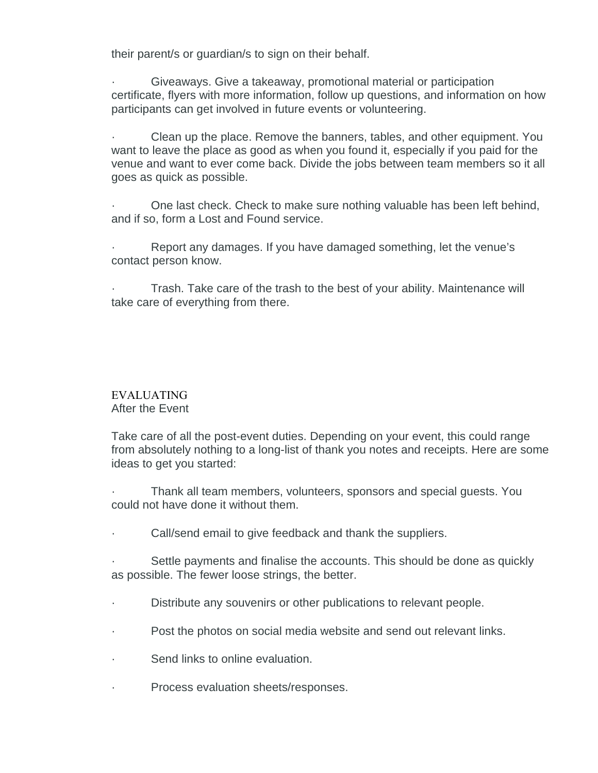their parent/s or guardian/s to sign on their behalf.

· Giveaways. Give a takeaway, promotional material or participation certificate, flyers with more information, follow up questions, and information on how participants can get involved in future events or volunteering.

· Clean up the place. Remove the banners, tables, and other equipment. You want to leave the place as good as when you found it, especially if you paid for the venue and want to ever come back. Divide the jobs between team members so it all goes as quick as possible.

· One last check. Check to make sure nothing valuable has been left behind, and if so, form a Lost and Found service.

Report any damages. If you have damaged something, let the venue's contact person know.

Trash. Take care of the trash to the best of your ability. Maintenance will take care of everything from there.

# EVALUATING After the Event

Take care of all the post-event duties. Depending on your event, this could range from absolutely nothing to a long-list of thank you notes and receipts. Here are some ideas to get you started:

· Thank all team members, volunteers, sponsors and special guests. You could not have done it without them.

· Call/send email to give feedback and thank the suppliers.

Settle payments and finalise the accounts. This should be done as quickly as possible. The fewer loose strings, the better.

- Distribute any souvenirs or other publications to relevant people.
- · Post the photos on social media website and send out relevant links.
- Send links to online evaluation.
- · Process evaluation sheets/responses.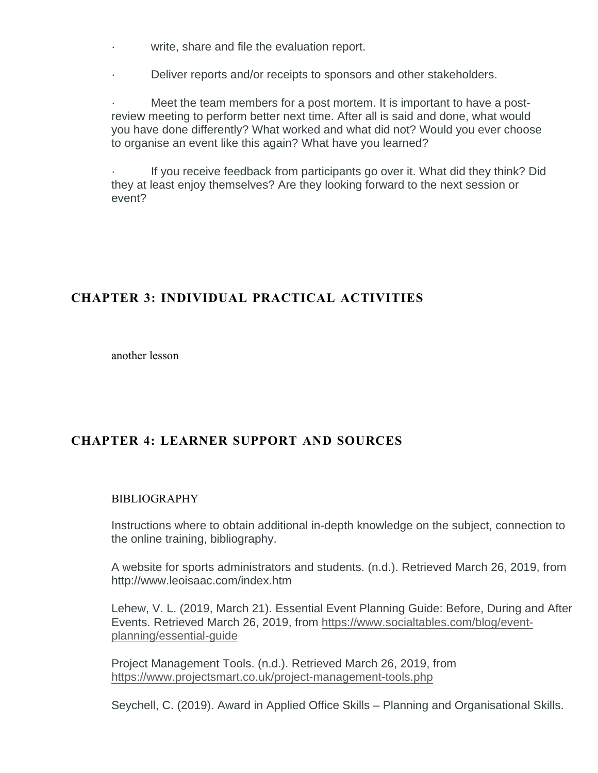- write, share and file the evaluation report.
- · Deliver reports and/or receipts to sponsors and other stakeholders.

Meet the team members for a post mortem. It is important to have a postreview meeting to perform better next time. After all is said and done, what would you have done differently? What worked and what did not? Would you ever choose to organise an event like this again? What have you learned?

If you receive feedback from participants go over it. What did they think? Did they at least enjoy themselves? Are they looking forward to the next session or event?

# **CHAPTER 3: INDIVIDUAL PRACTICAL ACTIVITIES**

another lesson

# **CHAPTER 4: LEARNER SUPPORT AND SOURCES**

# BIBLIOGRAPHY

Instructions where to obtain additional in-depth knowledge on the subject, connection to the online training, bibliography.

A website for sports administrators and students. (n.d.). Retrieved March 26, 2019, from http://www.leoisaac.com/index.htm

Lehew, V. L. (2019, March 21). Essential Event Planning Guide: Before, During and After Events. Retrieved March 26, 2019, from [https://www.socialtables.com/blog/event](https://www.socialtables.com/blog/event-planning/essential-guide/)[planning/essential-guide](https://www.socialtables.com/blog/event-planning/essential-guide/)

Project Management Tools. (n.d.). Retrieved March 26, 2019, from <https://www.projectsmart.co.uk/project-management-tools.php>

Seychell, C. (2019). Award in Applied Office Skills – Planning and Organisational Skills.